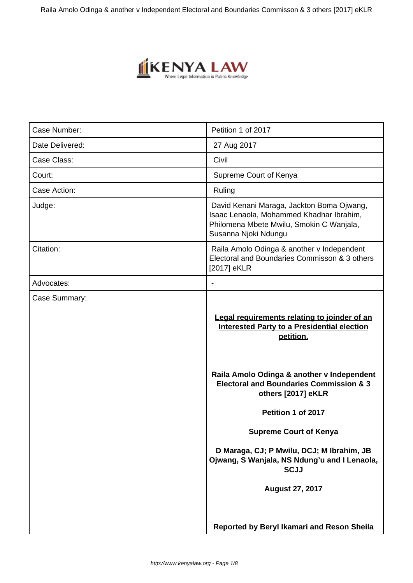

| Case Number:    | Petition 1 of 2017                                                                                                                                                                                                                                              |
|-----------------|-----------------------------------------------------------------------------------------------------------------------------------------------------------------------------------------------------------------------------------------------------------------|
| Date Delivered: | 27 Aug 2017                                                                                                                                                                                                                                                     |
| Case Class:     | Civil                                                                                                                                                                                                                                                           |
| Court:          | Supreme Court of Kenya                                                                                                                                                                                                                                          |
| Case Action:    | Ruling                                                                                                                                                                                                                                                          |
| Judge:          | David Kenani Maraga, Jackton Boma Ojwang,<br>Isaac Lenaola, Mohammed Khadhar Ibrahim,<br>Philomena Mbete Mwilu, Smokin C Wanjala,<br>Susanna Njoki Ndungu                                                                                                       |
| Citation:       | Raila Amolo Odinga & another v Independent<br>Electoral and Boundaries Commisson & 3 others<br>[2017] eKLR                                                                                                                                                      |
| Advocates:      |                                                                                                                                                                                                                                                                 |
|                 | Legal requirements relating to joinder of an<br><b>Interested Party to a Presidential election</b><br>petition.<br>Raila Amolo Odinga & another v Independent<br><b>Electoral and Boundaries Commission &amp; 3</b><br>others [2017] eKLR<br>Petition 1 of 2017 |
|                 | <b>Supreme Court of Kenya</b>                                                                                                                                                                                                                                   |
|                 | D Maraga, CJ; P Mwilu, DCJ; M Ibrahim, JB<br>Ojwang, S Wanjala, NS Ndung'u and I Lenaola,<br><b>SCJJ</b>                                                                                                                                                        |
|                 | <b>August 27, 2017</b>                                                                                                                                                                                                                                          |
|                 | Reported by Beryl Ikamari and Reson Sheila                                                                                                                                                                                                                      |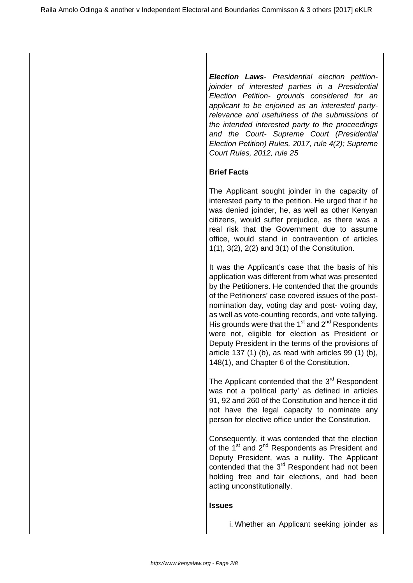**Election Laws**- Presidential election petitionjoinder of interested parties in a Presidential Election Petition- grounds considered for an applicant to be enjoined as an interested partyrelevance and usefulness of the submissions of the intended interested party to the proceedings and the Court- Supreme Court (Presidential Election Petition) Rules, 2017, rule 4(2); Supreme Court Rules, 2012, rule 25

# **Brief Facts**

The Applicant sought joinder in the capacity of interested party to the petition. He urged that if he was denied joinder, he, as well as other Kenyan citizens, would suffer prejudice, as there was a real risk that the Government due to assume office, would stand in contravention of articles 1(1), 3(2), 2(2) and 3(1) of the Constitution.

It was the Applicant's case that the basis of his application was different from what was presented by the Petitioners. He contended that the grounds of the Petitioners' case covered issues of the postnomination day, voting day and post- voting day, as well as vote-counting records, and vote tallying. His grounds were that the  $1<sup>st</sup>$  and  $2<sup>nd</sup>$  Respondents were not, eligible for election as President or Deputy President in the terms of the provisions of article 137 (1) (b), as read with articles 99 (1) (b), 148(1), and Chapter 6 of the Constitution.

The Applicant contended that the 3<sup>rd</sup> Respondent was not a 'political party' as defined in articles 91, 92 and 260 of the Constitution and hence it did not have the legal capacity to nominate any person for elective office under the Constitution.

Consequently, it was contended that the election of the  $1<sup>st</sup>$  and  $2<sup>nd</sup>$  Respondents as President and Deputy President, was a nullity. The Applicant contended that the 3<sup>rd</sup> Respondent had not been holding free and fair elections, and had been acting unconstitutionally.

#### **Issues**

i. Whether an Applicant seeking joinder as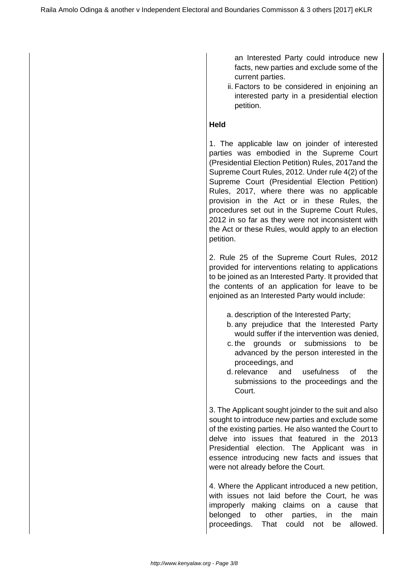an Interested Party could introduce new facts, new parties and exclude some of the current parties.

ii. Factors to be considered in enjoining an interested party in a presidential election petition.

#### **Held**

1. The applicable law on joinder of interested parties was embodied in the Supreme Court (Presidential Election Petition) Rules, 2017and the Supreme Court Rules, 2012. Under rule 4(2) of the Supreme Court (Presidential Election Petition) Rules, 2017, where there was no applicable provision in the Act or in these Rules, the procedures set out in the Supreme Court Rules, 2012 in so far as they were not inconsistent with the Act or these Rules, would apply to an election petition.

2. Rule 25 of the Supreme Court Rules, 2012 provided for interventions relating to applications to be joined as an Interested Party. It provided that the contents of an application for leave to be enjoined as an Interested Party would include:

- a. description of the Interested Party;
- b. any prejudice that the Interested Party would suffer if the intervention was denied,
- c. the grounds or submissions to be advanced by the person interested in the proceedings, and
- d. relevance and usefulness of the submissions to the proceedings and the Court.

3. The Applicant sought joinder to the suit and also sought to introduce new parties and exclude some of the existing parties. He also wanted the Court to delve into issues that featured in the 2013 Presidential election. The Applicant was in essence introducing new facts and issues that were not already before the Court.

4. Where the Applicant introduced a new petition, with issues not laid before the Court, he was improperly making claims on a cause that belonged to other parties, in the main proceedings. That could not be allowed.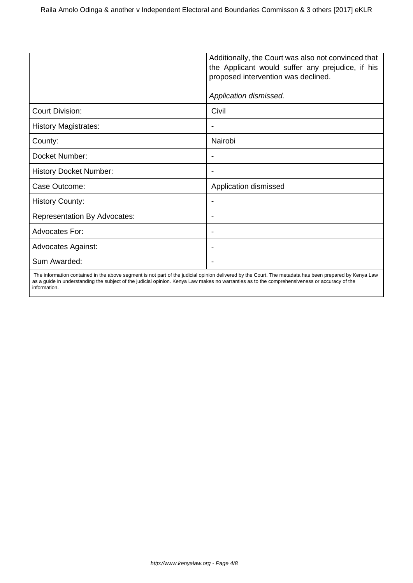|                                     | Additionally, the Court was also not convinced that<br>the Applicant would suffer any prejudice, if his<br>proposed intervention was declined. |  |
|-------------------------------------|------------------------------------------------------------------------------------------------------------------------------------------------|--|
|                                     | Application dismissed.                                                                                                                         |  |
| <b>Court Division:</b>              | Civil                                                                                                                                          |  |
| <b>History Magistrates:</b>         |                                                                                                                                                |  |
| County:                             | Nairobi                                                                                                                                        |  |
| Docket Number:                      | ٠                                                                                                                                              |  |
| <b>History Docket Number:</b>       | $\overline{\phantom{a}}$                                                                                                                       |  |
| Case Outcome:                       | Application dismissed                                                                                                                          |  |
| <b>History County:</b>              | ٠                                                                                                                                              |  |
| <b>Representation By Advocates:</b> |                                                                                                                                                |  |
| <b>Advocates For:</b>               | $\overline{\phantom{a}}$                                                                                                                       |  |
| <b>Advocates Against:</b>           | ٠                                                                                                                                              |  |
| Sum Awarded:                        |                                                                                                                                                |  |
|                                     |                                                                                                                                                |  |

 The information contained in the above segment is not part of the judicial opinion delivered by the Court. The metadata has been prepared by Kenya Law as a guide in understanding the subject of the judicial opinion. Kenya Law makes no warranties as to the comprehensiveness or accuracy of the information.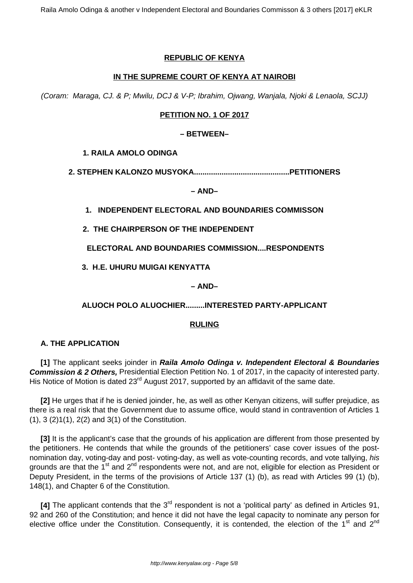## **REPUBLIC OF KENYA**

## **IN THE SUPREME COURT OF KENYA AT NAIROBI**

(Coram: Maraga, CJ. & P; Mwilu, DCJ & V-P; Ibrahim, Ojwang, Wanjala, Njoki & Lenaola, SCJJ)

# **PETITION NO. 1 OF 2017**

#### **– BETWEEN–**

**1. RAILA AMOLO ODINGA**

**2. STEPHEN KALONZO MUSYOKA.............................................PETITIONERS**

**– AND–**

**1. INDEPENDENT ELECTORAL AND BOUNDARIES COMMISSON**

**2. THE CHAIRPERSON OF THE INDEPENDENT**

**ELECTORAL AND BOUNDARIES COMMISSION....RESPONDENTS**

**3. H.E. UHURU MUIGAI KENYATTA** 

**– AND–**

**ALUOCH POLO ALUOCHIER.........INTERESTED PARTY-APPLICANT**

#### **RULING**

# **A. THE APPLICATION**

**[1]** The applicant seeks joinder in **Raila Amolo Odinga v. Independent Electoral & Boundaries Commission & 2 Others,** Presidential Election Petition No. 1 of 2017, in the capacity of interested party. His Notice of Motion is dated 23<sup>rd</sup> August 2017, supported by an affidavit of the same date.

**[2]** He urges that if he is denied joinder, he, as well as other Kenyan citizens, will suffer prejudice, as there is a real risk that the Government due to assume office, would stand in contravention of Articles 1 (1), 3 (2)1(1), 2(2) and 3(1) of the Constitution.

**[3]** It is the applicant's case that the grounds of his application are different from those presented by the petitioners. He contends that while the grounds of the petitioners' case cover issues of the postnomination day, voting-day and post- voting-day, as well as vote-counting records, and vote tallying, his grounds are that the 1<sup>st</sup> and 2<sup>nd</sup> respondents were not, and are not, eligible for election as President or Deputy President, in the terms of the provisions of Article 137 (1) (b), as read with Articles 99 (1) (b), 148(1), and Chapter 6 of the Constitution.

**[4]** The applicant contends that the 3<sup>rd</sup> respondent is not a 'political party' as defined in Articles 91, 92 and 260 of the Constitution; and hence it did not have the legal capacity to nominate any person for elective office under the Constitution. Consequently, it is contended, the election of the 1<sup>st</sup> and 2<sup>nd</sup>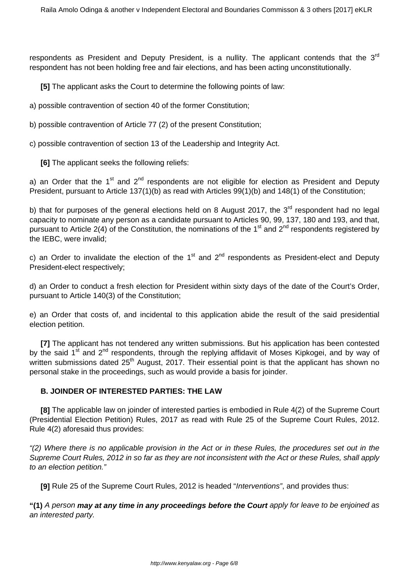respondents as President and Deputy President, is a nullity. The applicant contends that the  $3<sup>rd</sup>$ respondent has not been holding free and fair elections, and has been acting unconstitutionally.

**[5]** The applicant asks the Court to determine the following points of law:

a) possible contravention of section 40 of the former Constitution;

b) possible contravention of Article 77 (2) of the present Constitution;

c) possible contravention of section 13 of the Leadership and Integrity Act.

**[6]** The applicant seeks the following reliefs:

a) an Order that the  $1<sup>st</sup>$  and  $2<sup>nd</sup>$  respondents are not eligible for election as President and Deputy President, pursuant to Article 137(1)(b) as read with Articles 99(1)(b) and 148(1) of the Constitution;

b) that for purposes of the general elections held on 8 August 2017, the  $3<sup>rd</sup>$  respondent had no legal capacity to nominate any person as a candidate pursuant to Articles 90, 99, 137, 180 and 193, and that, pursuant to Article 2(4) of the Constitution, the nominations of the 1<sup>st</sup> and 2<sup>nd</sup> respondents registered by the IEBC, were invalid;

c) an Order to invalidate the election of the  $1<sup>st</sup>$  and  $2<sup>nd</sup>$  respondents as President-elect and Deputy President-elect respectively;

d) an Order to conduct a fresh election for President within sixty days of the date of the Court's Order, pursuant to Article 140(3) of the Constitution;

e) an Order that costs of, and incidental to this application abide the result of the said presidential election petition.

**[7]** The applicant has not tendered any written submissions. But his application has been contested by the said 1<sup>st</sup> and 2<sup>nd</sup> respondents, through the replying affidavit of Moses Kipkogei, and by way of written submissions dated 25<sup>th</sup> August, 2017. Their essential point is that the applicant has shown no personal stake in the proceedings, such as would provide a basis for joinder.

## **B. JOINDER OF INTERESTED PARTIES: THE LAW**

**[8]** The applicable law on joinder of interested parties is embodied in Rule 4(2) of the Supreme Court (Presidential Election Petition) Rules, 2017 as read with Rule 25 of the Supreme Court Rules, 2012. Rule 4(2) aforesaid thus provides:

"(2) Where there is no applicable provision in the Act or in these Rules, the procedures set out in the Supreme Court Rules, 2012 in so far as they are not inconsistent with the Act or these Rules, shall apply to an election petition."

**[9]** Rule 25 of the Supreme Court Rules, 2012 is headed "Interventions", and provides thus:

**"(1)** A person **may at any time in any proceedings before the Court** apply for leave to be enjoined as an interested party.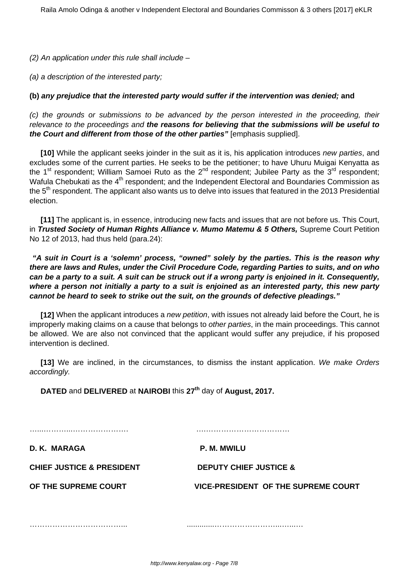(2) An application under this rule shall include –

(a) a description of the interested party;

#### **(b) any prejudice that the interested party would suffer if the intervention was denied; and**

(c) the grounds or submissions to be advanced by the person interested in the proceeding, their relevance to the proceedings and **the reasons for believing that the submissions will be useful to the Court and different from those of the other parties"** [emphasis supplied].

**[10]** While the applicant seeks joinder in the suit as it is, his application introduces new parties, and excludes some of the current parties. He seeks to be the petitioner; to have Uhuru Muigai Kenyatta as the 1<sup>st</sup> respondent; William Samoei Ruto as the 2<sup>nd</sup> respondent; Jubilee Party as the 3<sup>rd</sup> respondent; Wafula Chebukati as the 4<sup>th</sup> respondent; and the Independent Electoral and Boundaries Commission as the 5<sup>th</sup> respondent. The applicant also wants us to delve into issues that featured in the 2013 Presidential election.

**[11]** The applicant is, in essence, introducing new facts and issues that are not before us. This Court, in **Trusted Society of Human Rights Alliance v. Mumo Matemu & 5 Others,** Supreme Court Petition No 12 of 2013, had thus held (para.24):

**"A suit in Court is a 'solemn' process, "owned" solely by the parties. This is the reason why there are laws and Rules, under the Civil Procedure Code, regarding Parties to suits, and on who can be a party to a suit. A suit can be struck out if a wrong party is enjoined in it. Consequently, where a person not initially a party to a suit is enjoined as an interested party, this new party cannot be heard to seek to strike out the suit, on the grounds of defective pleadings."**

**[12]** When the applicant introduces a new petition, with issues not already laid before the Court, he is improperly making claims on a cause that belongs to *other parties*, in the main proceedings. This cannot be allowed. We are also not convinced that the applicant would suffer any prejudice, if his proposed intervention is declined.

**[13]** We are inclined, in the circumstances, to dismiss the instant application. We make Orders accordingly.

**DATED** and **DELIVERED** at **NAIROBI** this **27th** day of **August, 2017.** 

…...………...…………………. ….……………………………

**D. K. MARAGA P. M. MWILU** 

**CHIEF JUSTICE & PRESIDENT DEPUTY CHIEF JUSTICE &**

**OF THE SUPREME COURT VICE-PRESIDENT OF THE SUPREME COURT**

………………………………... .............……………………...…...…